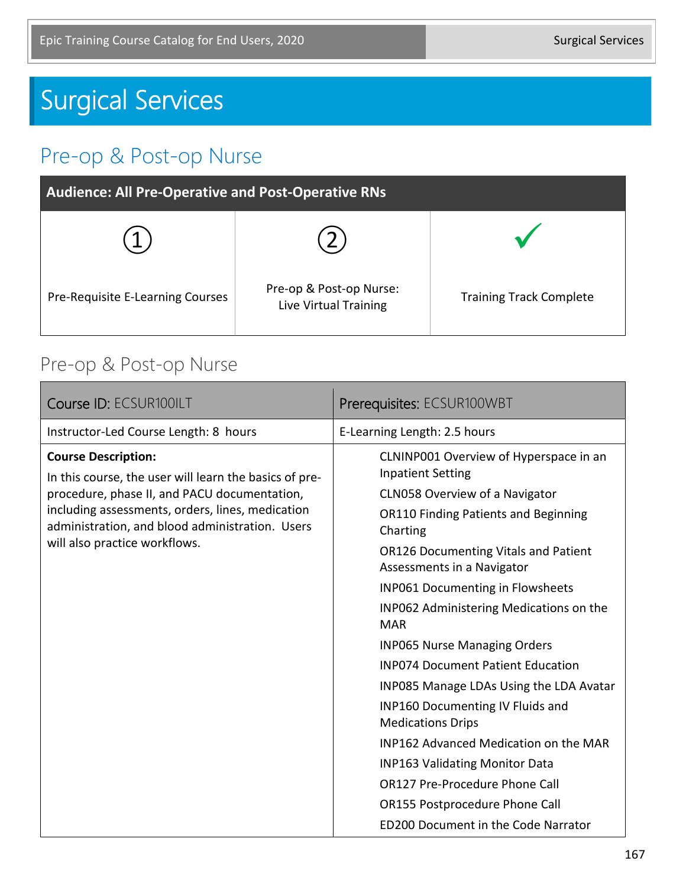# Surgical Services

## Pre-op & Post-op Nurse

| <b>Audience: All Pre-Operative and Post-Operative RNs</b> |                                                  |                                |
|-----------------------------------------------------------|--------------------------------------------------|--------------------------------|
|                                                           |                                                  |                                |
| Pre-Requisite E-Learning Courses                          | Pre-op & Post-op Nurse:<br>Live Virtual Training | <b>Training Track Complete</b> |

#### Pre-op & Post-op Nurse

| Course ID: ECSUR100ILT                                                                                                                                                                                                                                                       | Prerequisites: ECSUR100WBT                                                                                                                                                                                                                                                                                                                                                                                                                                                                                                                                                                                                                                                                                         |
|------------------------------------------------------------------------------------------------------------------------------------------------------------------------------------------------------------------------------------------------------------------------------|--------------------------------------------------------------------------------------------------------------------------------------------------------------------------------------------------------------------------------------------------------------------------------------------------------------------------------------------------------------------------------------------------------------------------------------------------------------------------------------------------------------------------------------------------------------------------------------------------------------------------------------------------------------------------------------------------------------------|
| Instructor-Led Course Length: 8 hours                                                                                                                                                                                                                                        | E-Learning Length: 2.5 hours                                                                                                                                                                                                                                                                                                                                                                                                                                                                                                                                                                                                                                                                                       |
| <b>Course Description:</b><br>In this course, the user will learn the basics of pre-<br>procedure, phase II, and PACU documentation,<br>including assessments, orders, lines, medication<br>administration, and blood administration. Users<br>will also practice workflows. | CLNINP001 Overview of Hyperspace in an<br><b>Inpatient Setting</b><br>CLN058 Overview of a Navigator<br><b>OR110 Finding Patients and Beginning</b><br>Charting<br><b>OR126 Documenting Vitals and Patient</b><br>Assessments in a Navigator<br><b>INP061 Documenting in Flowsheets</b><br>INP062 Administering Medications on the<br><b>MAR</b><br><b>INP065 Nurse Managing Orders</b><br><b>INP074 Document Patient Education</b><br>INP085 Manage LDAs Using the LDA Avatar<br><b>INP160 Documenting IV Fluids and</b><br><b>Medications Drips</b><br>INP162 Advanced Medication on the MAR<br><b>INP163 Validating Monitor Data</b><br>OR127 Pre-Procedure Phone Call<br><b>OR155 Postprocedure Phone Call</b> |
|                                                                                                                                                                                                                                                                              | ED200 Document in the Code Narrator                                                                                                                                                                                                                                                                                                                                                                                                                                                                                                                                                                                                                                                                                |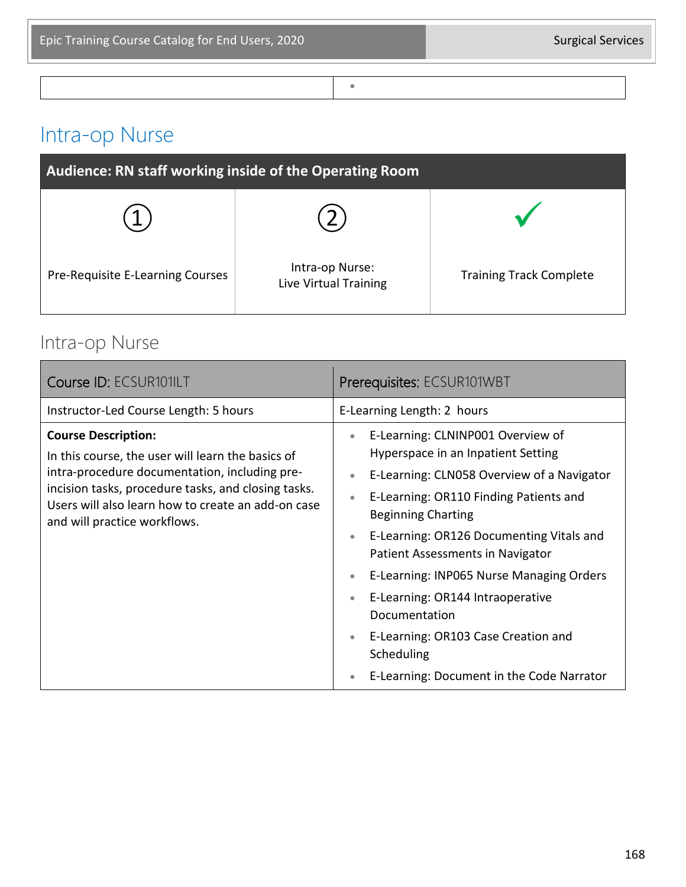•

# Intra-op Nurse

| Audience: RN staff working inside of the Operating Room |                                          |                                |
|---------------------------------------------------------|------------------------------------------|--------------------------------|
|                                                         |                                          |                                |
| Pre-Requisite E-Learning Courses                        | Intra-op Nurse:<br>Live Virtual Training | <b>Training Track Complete</b> |

#### Intra-op Nurse

| Course ID: ECSUR101ILT                                                                                                                                                                                                                                                        | Prerequisites: ECSUR101WBT                                                                                                                                                                                                                                                                                                                                                                                                                                                                                                                            |
|-------------------------------------------------------------------------------------------------------------------------------------------------------------------------------------------------------------------------------------------------------------------------------|-------------------------------------------------------------------------------------------------------------------------------------------------------------------------------------------------------------------------------------------------------------------------------------------------------------------------------------------------------------------------------------------------------------------------------------------------------------------------------------------------------------------------------------------------------|
| Instructor-Led Course Length: 5 hours                                                                                                                                                                                                                                         | E-Learning Length: 2 hours                                                                                                                                                                                                                                                                                                                                                                                                                                                                                                                            |
| <b>Course Description:</b><br>In this course, the user will learn the basics of<br>intra-procedure documentation, including pre-<br>incision tasks, procedure tasks, and closing tasks.<br>Users will also learn how to create an add-on case<br>and will practice workflows. | E-Learning: CLNINP001 Overview of<br>$\bullet$<br>Hyperspace in an Inpatient Setting<br>E-Learning: CLN058 Overview of a Navigator<br>۰<br>E-Learning: OR110 Finding Patients and<br><b>Beginning Charting</b><br>E-Learning: OR126 Documenting Vitals and<br>$\bullet$<br>Patient Assessments in Navigator<br>E-Learning: INP065 Nurse Managing Orders<br>$\bullet$<br>E-Learning: OR144 Intraoperative<br>$\bullet$<br>Documentation<br>E-Learning: OR103 Case Creation and<br>$\bullet$<br>Scheduling<br>E-Learning: Document in the Code Narrator |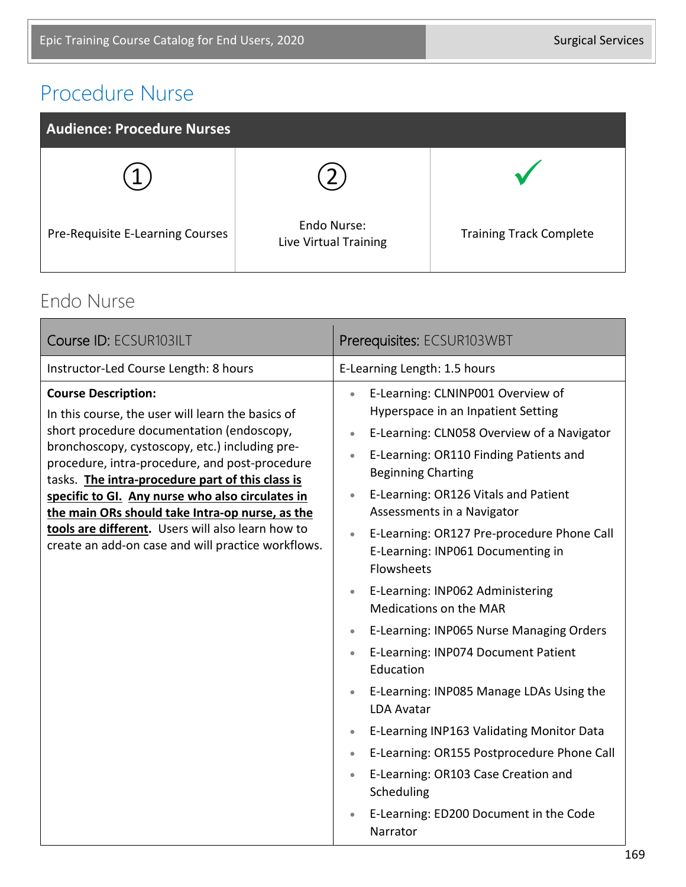## Procedure Nurse



#### Endo Nurse

| Course ID: ECSUR103ILT                                                                                                                                                                                                                                                                                                                                                                                                                                                                                 | Prerequisites: ECSUR103WBT                                                                                                                                                                                                                                                                                                                                                                                                                                                                                                                                                                                                                                                                                                                                                                                                                                                                                                           |
|--------------------------------------------------------------------------------------------------------------------------------------------------------------------------------------------------------------------------------------------------------------------------------------------------------------------------------------------------------------------------------------------------------------------------------------------------------------------------------------------------------|--------------------------------------------------------------------------------------------------------------------------------------------------------------------------------------------------------------------------------------------------------------------------------------------------------------------------------------------------------------------------------------------------------------------------------------------------------------------------------------------------------------------------------------------------------------------------------------------------------------------------------------------------------------------------------------------------------------------------------------------------------------------------------------------------------------------------------------------------------------------------------------------------------------------------------------|
| Instructor-Led Course Length: 8 hours                                                                                                                                                                                                                                                                                                                                                                                                                                                                  | E-Learning Length: 1.5 hours                                                                                                                                                                                                                                                                                                                                                                                                                                                                                                                                                                                                                                                                                                                                                                                                                                                                                                         |
| <b>Course Description:</b><br>In this course, the user will learn the basics of<br>short procedure documentation (endoscopy,<br>bronchoscopy, cystoscopy, etc.) including pre-<br>procedure, intra-procedure, and post-procedure<br>tasks. The intra-procedure part of this class is<br>specific to GI. Any nurse who also circulates in<br>the main ORs should take Intra-op nurse, as the<br>tools are different. Users will also learn how to<br>create an add-on case and will practice workflows. | E-Learning: CLNINP001 Overview of<br>$\bullet$<br>Hyperspace in an Inpatient Setting<br>E-Learning: CLN058 Overview of a Navigator<br>$\bullet$<br>E-Learning: OR110 Finding Patients and<br>$\bullet$<br><b>Beginning Charting</b><br>E-Learning: OR126 Vitals and Patient<br>$\bullet$<br>Assessments in a Navigator<br>E-Learning: OR127 Pre-procedure Phone Call<br>$\bullet$<br>E-Learning: INP061 Documenting in<br>Flowsheets<br>E-Learning: INP062 Administering<br>$\bullet$<br><b>Medications on the MAR</b><br>E-Learning: INP065 Nurse Managing Orders<br>$\bullet$<br>E-Learning: INP074 Document Patient<br>Education<br>E-Learning: INP085 Manage LDAs Using the<br><b>LDA Avatar</b><br>E-Learning INP163 Validating Monitor Data<br>$\bullet$<br>E-Learning: OR155 Postprocedure Phone Call<br>$\bullet$<br>E-Learning: OR103 Case Creation and<br>Scheduling<br>E-Learning: ED200 Document in the Code<br>Narrator |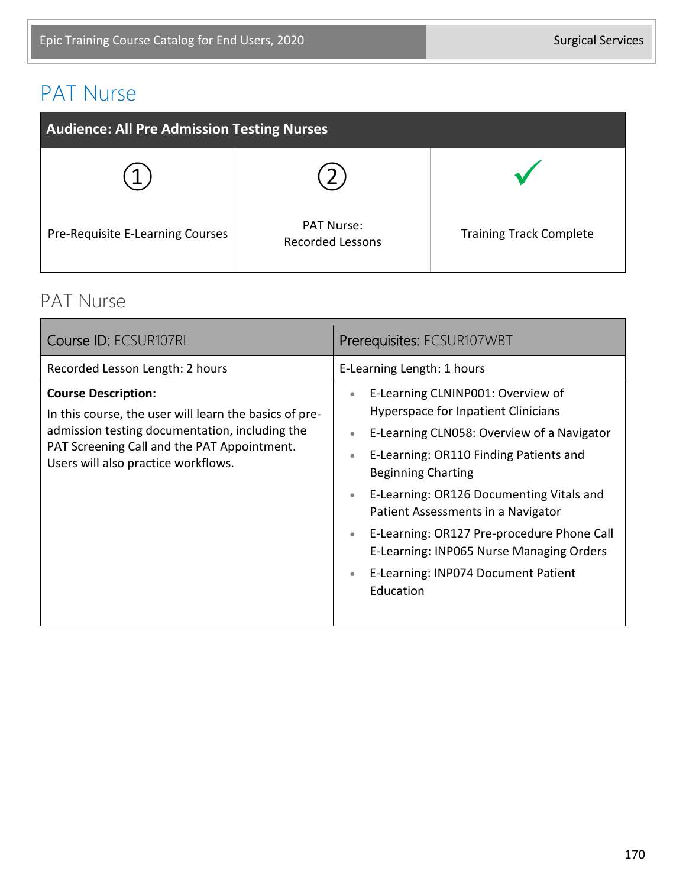# PAT Nurse

| <b>Audience: All Pre Admission Testing Nurses</b> |                                              |                                |
|---------------------------------------------------|----------------------------------------------|--------------------------------|
|                                                   |                                              |                                |
| Pre-Requisite E-Learning Courses                  | <b>PAT Nurse:</b><br><b>Recorded Lessons</b> | <b>Training Track Complete</b> |

#### PAT Nurse

| Course ID: ECSUR107RL                                                                                                                                                                                                        | Prerequisites: ECSUR107WBT                                                                                                                                                                                                                                                                                                                                                                                                                                                                                  |
|------------------------------------------------------------------------------------------------------------------------------------------------------------------------------------------------------------------------------|-------------------------------------------------------------------------------------------------------------------------------------------------------------------------------------------------------------------------------------------------------------------------------------------------------------------------------------------------------------------------------------------------------------------------------------------------------------------------------------------------------------|
| Recorded Lesson Length: 2 hours                                                                                                                                                                                              | E-Learning Length: 1 hours                                                                                                                                                                                                                                                                                                                                                                                                                                                                                  |
| <b>Course Description:</b><br>In this course, the user will learn the basics of pre-<br>admission testing documentation, including the<br>PAT Screening Call and the PAT Appointment.<br>Users will also practice workflows. | E-Learning CLNINP001: Overview of<br>$\bullet$<br>Hyperspace for Inpatient Clinicians<br>E-Learning CLN058: Overview of a Navigator<br>$\bullet$<br>E-Learning: OR110 Finding Patients and<br>$\bullet$<br><b>Beginning Charting</b><br>E-Learning: OR126 Documenting Vitals and<br>$\bullet$<br>Patient Assessments in a Navigator<br>E-Learning: OR127 Pre-procedure Phone Call<br>$\bullet$<br>E-Learning: INP065 Nurse Managing Orders<br>E-Learning: INP074 Document Patient<br>$\bullet$<br>Education |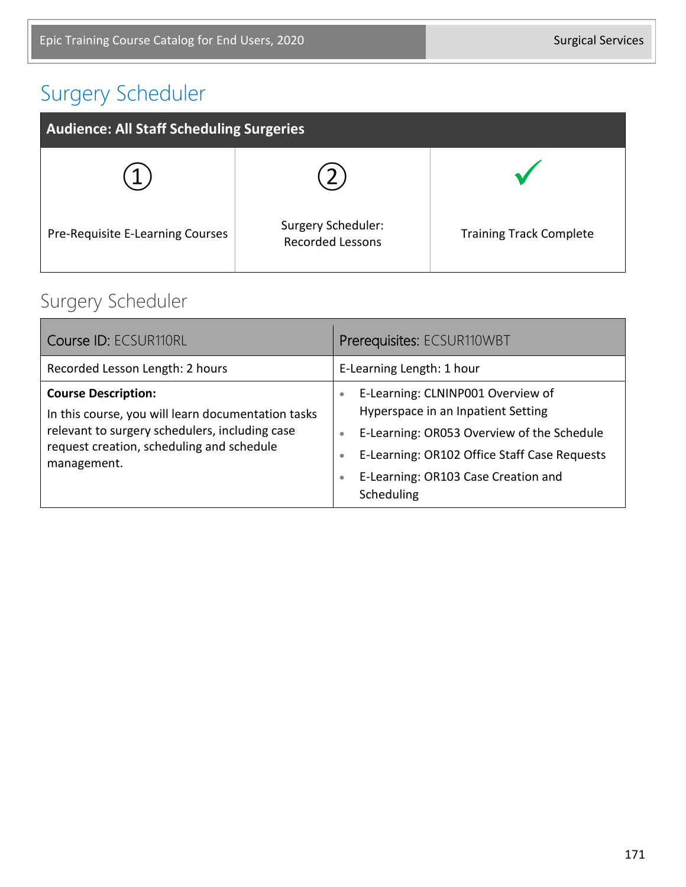# Surgery Scheduler

| <b>Audience: All Staff Scheduling Surgeries</b> |                                                      |                                |
|-------------------------------------------------|------------------------------------------------------|--------------------------------|
|                                                 |                                                      |                                |
| Pre-Requisite E-Learning Courses                | <b>Surgery Scheduler:</b><br><b>Recorded Lessons</b> | <b>Training Track Complete</b> |

## Surgery Scheduler

| <b>Course ID: ECSUR110RL</b>                                                                                                                                                                   | Prerequisites: ECSUR110WBT                                                                                                                                                                                                                                                     |
|------------------------------------------------------------------------------------------------------------------------------------------------------------------------------------------------|--------------------------------------------------------------------------------------------------------------------------------------------------------------------------------------------------------------------------------------------------------------------------------|
| Recorded Lesson Length: 2 hours                                                                                                                                                                | E-Learning Length: 1 hour                                                                                                                                                                                                                                                      |
| <b>Course Description:</b><br>In this course, you will learn documentation tasks<br>relevant to surgery schedulers, including case<br>request creation, scheduling and schedule<br>management. | E-Learning: CLNINP001 Overview of<br>$\bullet$<br>Hyperspace in an Inpatient Setting<br>E-Learning: OR053 Overview of the Schedule<br>$\bullet$<br>E-Learning: OR102 Office Staff Case Requests<br>$\bullet$<br>E-Learning: OR103 Case Creation and<br>$\bullet$<br>Scheduling |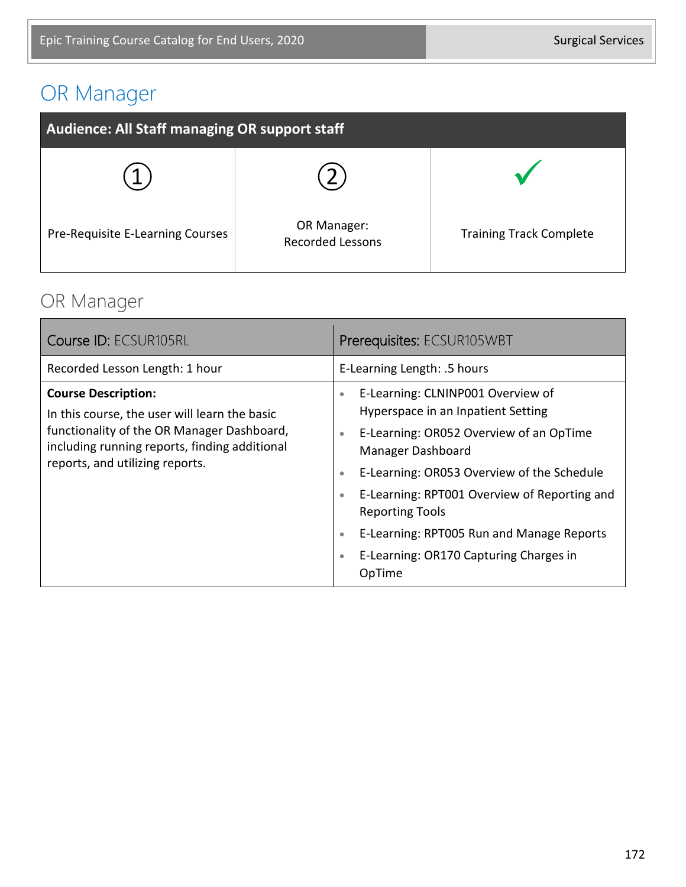# OR Manager

| <b>Audience: All Staff managing OR support staff</b> |                                        |                                |
|------------------------------------------------------|----------------------------------------|--------------------------------|
|                                                      |                                        |                                |
| Pre-Requisite E-Learning Courses                     | OR Manager:<br><b>Recorded Lessons</b> | <b>Training Track Complete</b> |

#### OR Manager

| Course ID: ECSUR105RL                                                                                                                                                                                         | Prerequisites: ECSUR105WBT                                                                                                                                                                                                                                                                                                                                                                                                                     |
|---------------------------------------------------------------------------------------------------------------------------------------------------------------------------------------------------------------|------------------------------------------------------------------------------------------------------------------------------------------------------------------------------------------------------------------------------------------------------------------------------------------------------------------------------------------------------------------------------------------------------------------------------------------------|
| Recorded Lesson Length: 1 hour                                                                                                                                                                                | E-Learning Length: .5 hours                                                                                                                                                                                                                                                                                                                                                                                                                    |
| <b>Course Description:</b><br>In this course, the user will learn the basic<br>functionality of the OR Manager Dashboard,<br>including running reports, finding additional<br>reports, and utilizing reports. | E-Learning: CLNINP001 Overview of<br>$\bullet$<br>Hyperspace in an Inpatient Setting<br>E-Learning: OR052 Overview of an OpTime<br>$\bullet$<br>Manager Dashboard<br>E-Learning: OR053 Overview of the Schedule<br>$\bullet$<br>E-Learning: RPT001 Overview of Reporting and<br>$\bullet$<br><b>Reporting Tools</b><br>E-Learning: RPT005 Run and Manage Reports<br>$\bullet$<br>E-Learning: OR170 Capturing Charges in<br>$\bullet$<br>OpTime |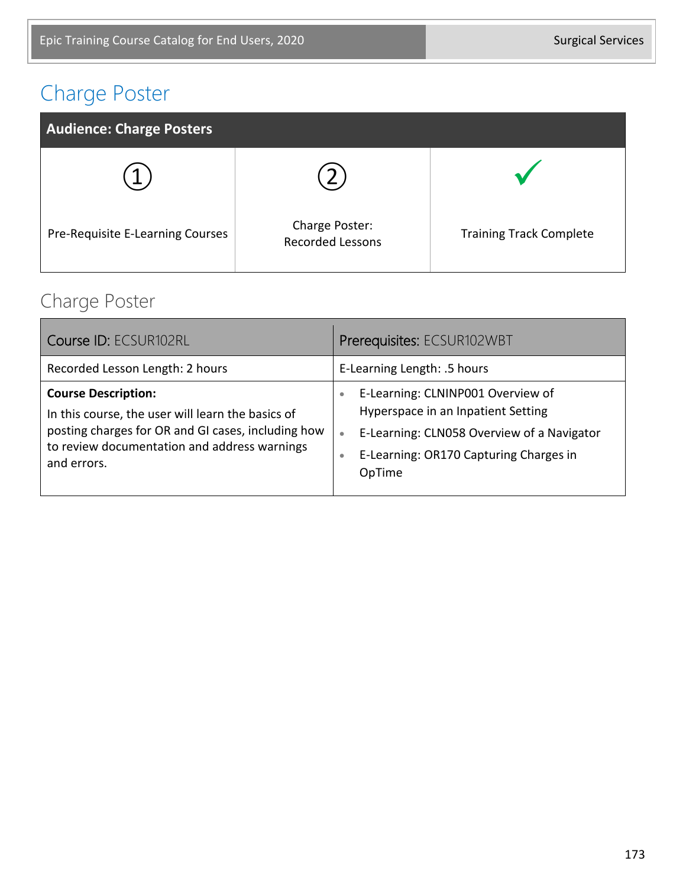## Charge Poster



#### Charge Poster

| Course ID: ECSUR102RL                                                                                                                                                                                | Prerequisites: ECSUR102WBT                                                                                                                                                                                       |
|------------------------------------------------------------------------------------------------------------------------------------------------------------------------------------------------------|------------------------------------------------------------------------------------------------------------------------------------------------------------------------------------------------------------------|
| Recorded Lesson Length: 2 hours                                                                                                                                                                      | E-Learning Length: .5 hours                                                                                                                                                                                      |
| <b>Course Description:</b><br>In this course, the user will learn the basics of<br>posting charges for OR and GI cases, including how<br>to review documentation and address warnings<br>and errors. | E-Learning: CLNINP001 Overview of<br>$\bullet$<br>Hyperspace in an Inpatient Setting<br>E-Learning: CLN058 Overview of a Navigator<br>$\bullet$<br>E-Learning: OR170 Capturing Charges in<br>$\bullet$<br>OpTime |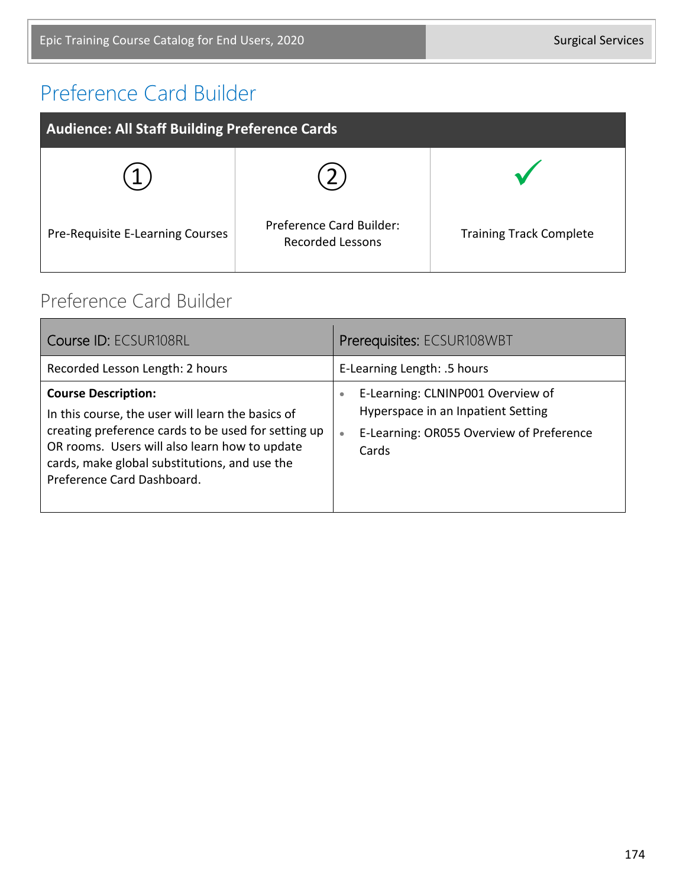## Preference Card Builder

| <b>Audience: All Staff Building Preference Cards</b> |                                                            |                                |
|------------------------------------------------------|------------------------------------------------------------|--------------------------------|
|                                                      |                                                            |                                |
| Pre-Requisite E-Learning Courses                     | <b>Preference Card Builder:</b><br><b>Recorded Lessons</b> | <b>Training Track Complete</b> |

#### Preference Card Builder

| Course ID: ECSUR108RL                                                                                                                                                                                                                                                  | Prerequisites: ECSUR108WBT                                                                                                                             |
|------------------------------------------------------------------------------------------------------------------------------------------------------------------------------------------------------------------------------------------------------------------------|--------------------------------------------------------------------------------------------------------------------------------------------------------|
| Recorded Lesson Length: 2 hours                                                                                                                                                                                                                                        | E-Learning Length: .5 hours                                                                                                                            |
| <b>Course Description:</b><br>In this course, the user will learn the basics of<br>creating preference cards to be used for setting up<br>OR rooms. Users will also learn how to update<br>cards, make global substitutions, and use the<br>Preference Card Dashboard. | E-Learning: CLNINP001 Overview of<br>$\bullet$<br>Hyperspace in an Inpatient Setting<br>E-Learning: OR055 Overview of Preference<br>$\bullet$<br>Cards |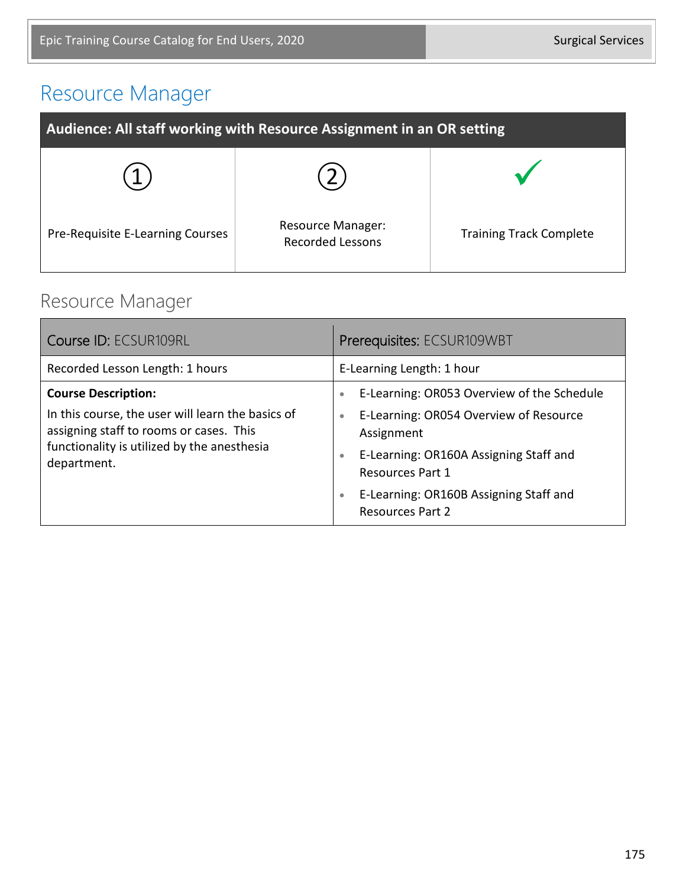## Resource Manager

| Audience: All staff working with Resource Assignment in an OR setting |                                                     |                                |
|-----------------------------------------------------------------------|-----------------------------------------------------|--------------------------------|
|                                                                       |                                                     |                                |
| Pre-Requisite E-Learning Courses                                      | <b>Resource Manager:</b><br><b>Recorded Lessons</b> | <b>Training Track Complete</b> |

#### Resource Manager

| Course ID: ECSUR109RL                                                                                                                                                                    | Prerequisites: ECSUR109WBT                                                                                                                                                                                                                                                                |  |
|------------------------------------------------------------------------------------------------------------------------------------------------------------------------------------------|-------------------------------------------------------------------------------------------------------------------------------------------------------------------------------------------------------------------------------------------------------------------------------------------|--|
| Recorded Lesson Length: 1 hours                                                                                                                                                          | E-Learning Length: 1 hour                                                                                                                                                                                                                                                                 |  |
| <b>Course Description:</b><br>In this course, the user will learn the basics of<br>assigning staff to rooms or cases. This<br>functionality is utilized by the anesthesia<br>department. | E-Learning: OR053 Overview of the Schedule<br>$\bullet$<br>E-Learning: OR054 Overview of Resource<br>$\bullet$<br>Assignment<br>E-Learning: OR160A Assigning Staff and<br>$\bullet$<br>Resources Part 1<br>E-Learning: OR160B Assigning Staff and<br>$\bullet$<br><b>Resources Part 2</b> |  |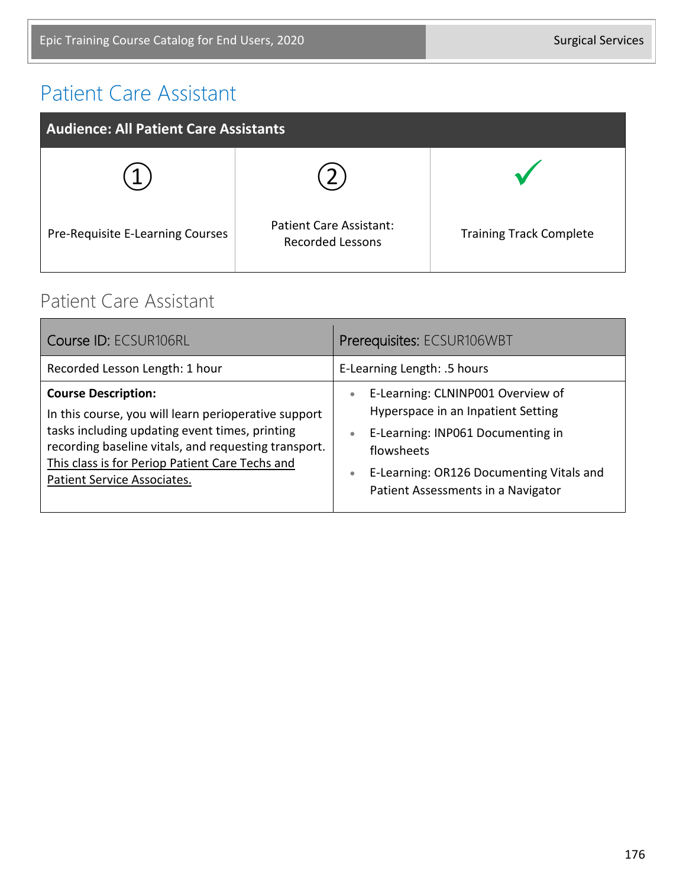#### Patient Care Assistant

| <b>Audience: All Patient Care Assistants</b> |                                                           |                                |
|----------------------------------------------|-----------------------------------------------------------|--------------------------------|
|                                              |                                                           |                                |
| Pre-Requisite E-Learning Courses             | <b>Patient Care Assistant:</b><br><b>Recorded Lessons</b> | <b>Training Track Complete</b> |

#### Patient Care Assistant

| Course ID: ECSUR106RL                                                                                                                                                                                                                                                          | Prerequisites: ECSUR106WBT                                                                                                                                                                                                                          |
|--------------------------------------------------------------------------------------------------------------------------------------------------------------------------------------------------------------------------------------------------------------------------------|-----------------------------------------------------------------------------------------------------------------------------------------------------------------------------------------------------------------------------------------------------|
| Recorded Lesson Length: 1 hour                                                                                                                                                                                                                                                 | E-Learning Length: .5 hours                                                                                                                                                                                                                         |
| <b>Course Description:</b><br>In this course, you will learn perioperative support<br>tasks including updating event times, printing<br>recording baseline vitals, and requesting transport.<br>This class is for Periop Patient Care Techs and<br>Patient Service Associates. | E-Learning: CLNINP001 Overview of<br>$\bullet$<br>Hyperspace in an Inpatient Setting<br>E-Learning: INP061 Documenting in<br>$\bullet$<br>flowsheets<br>E-Learning: OR126 Documenting Vitals and<br>$\bullet$<br>Patient Assessments in a Navigator |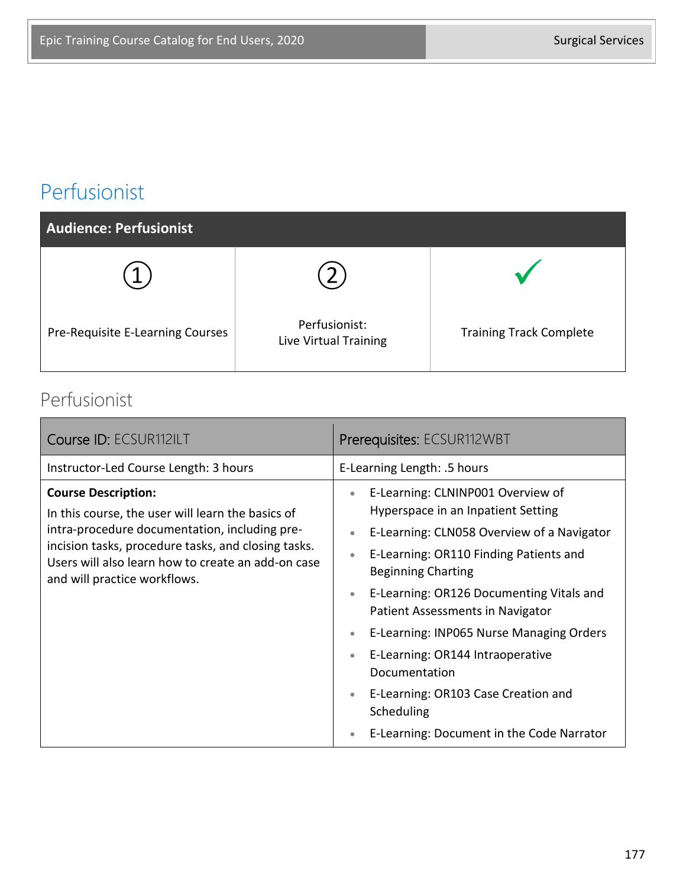### Perfusionist

| Audience: Perfusionist           |                                        |                                |
|----------------------------------|----------------------------------------|--------------------------------|
|                                  |                                        |                                |
| Pre-Requisite E-Learning Courses | Perfusionist:<br>Live Virtual Training | <b>Training Track Complete</b> |

#### Perfusionist

| Course ID: ECSUR112ILT                                                                                                                                                                                                                                                        | Prerequisites: ECSUR112WBT                                                                                                                                                                                                                                                                                                                                                                                                                                                                                                                                    |
|-------------------------------------------------------------------------------------------------------------------------------------------------------------------------------------------------------------------------------------------------------------------------------|---------------------------------------------------------------------------------------------------------------------------------------------------------------------------------------------------------------------------------------------------------------------------------------------------------------------------------------------------------------------------------------------------------------------------------------------------------------------------------------------------------------------------------------------------------------|
| Instructor-Led Course Length: 3 hours                                                                                                                                                                                                                                         | E-Learning Length: .5 hours                                                                                                                                                                                                                                                                                                                                                                                                                                                                                                                                   |
| <b>Course Description:</b><br>In this course, the user will learn the basics of<br>intra-procedure documentation, including pre-<br>incision tasks, procedure tasks, and closing tasks.<br>Users will also learn how to create an add-on case<br>and will practice workflows. | E-Learning: CLNINP001 Overview of<br>$\bullet$<br>Hyperspace in an Inpatient Setting<br>E-Learning: CLN058 Overview of a Navigator<br>E-Learning: OR110 Finding Patients and<br>$\bullet$<br><b>Beginning Charting</b><br>E-Learning: OR126 Documenting Vitals and<br>$\bullet$<br>Patient Assessments in Navigator<br>E-Learning: INP065 Nurse Managing Orders<br>$\bullet$<br>E-Learning: OR144 Intraoperative<br>$\bullet$<br>Documentation<br>E-Learning: OR103 Case Creation and<br>$\bullet$<br>Scheduling<br>E-Learning: Document in the Code Narrator |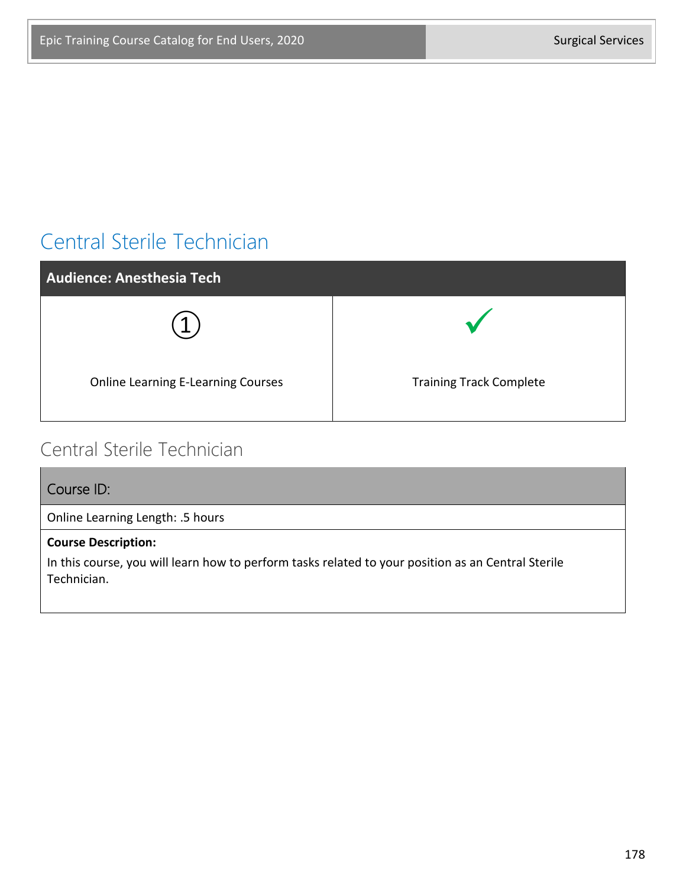## Central Sterile Technician

| <b>Audience: Anesthesia Tech</b>          |                                |
|-------------------------------------------|--------------------------------|
|                                           |                                |
| <b>Online Learning E-Learning Courses</b> | <b>Training Track Complete</b> |

#### Central Sterile Technician

| Course ID:                                                                                                        |
|-------------------------------------------------------------------------------------------------------------------|
| Online Learning Length: .5 hours                                                                                  |
| <b>Course Description:</b>                                                                                        |
| In this course, you will learn how to perform tasks related to your position as an Central Sterile<br>Technician. |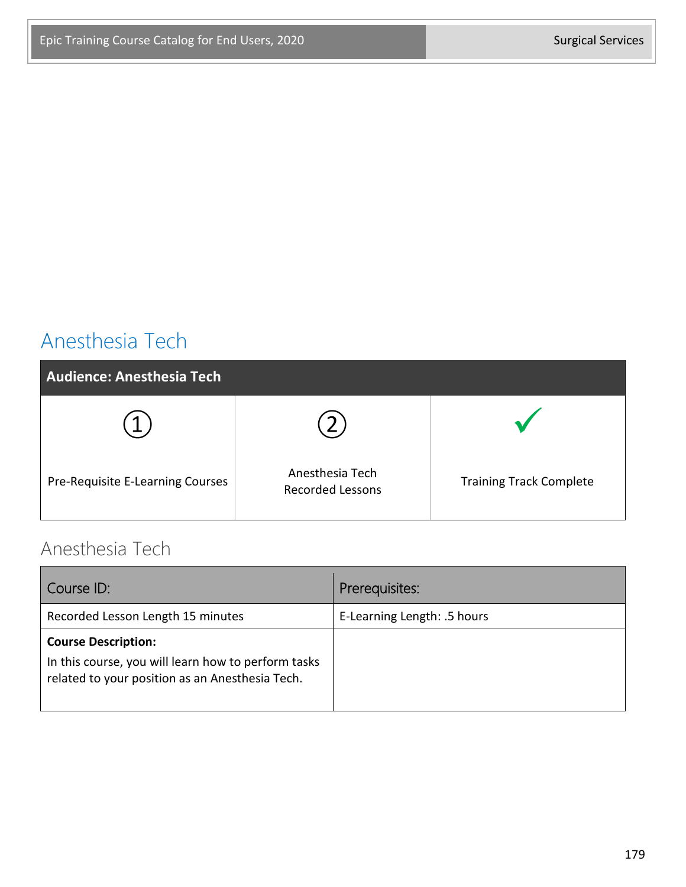## Anesthesia Tech

| <b>Audience: Anesthesia Tech</b> |                                            |                                |
|----------------------------------|--------------------------------------------|--------------------------------|
|                                  |                                            |                                |
| Pre-Requisite E-Learning Courses | Anesthesia Tech<br><b>Recorded Lessons</b> | <b>Training Track Complete</b> |

#### Anesthesia Tech

| Course ID:                                                                                                                           | Prerequisites:              |
|--------------------------------------------------------------------------------------------------------------------------------------|-----------------------------|
| Recorded Lesson Length 15 minutes                                                                                                    | E-Learning Length: .5 hours |
| <b>Course Description:</b><br>In this course, you will learn how to perform tasks<br>related to your position as an Anesthesia Tech. |                             |